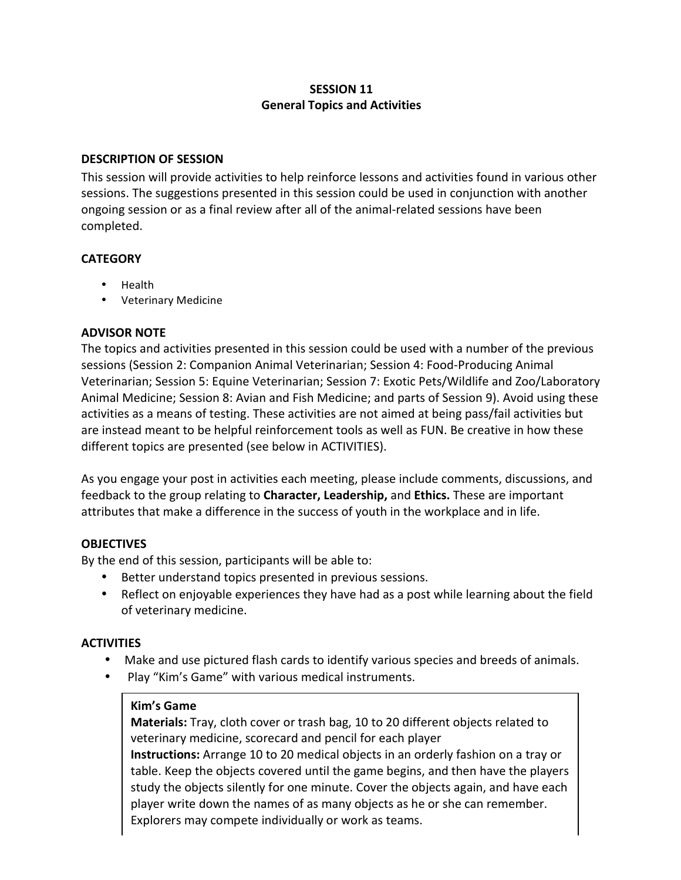# **SESSION 11 General Topics and Activities**

#### **DESCRIPTION OF SESSION**

This session will provide activities to help reinforce lessons and activities found in various other sessions. The suggestions presented in this session could be used in conjunction with another ongoing session or as a final review after all of the animal-related sessions have been completed. 

#### **CATEGORY**

- Health
- Veterinary Medicine

## **ADVISOR NOTE**

The topics and activities presented in this session could be used with a number of the previous sessions (Session 2: Companion Animal Veterinarian; Session 4: Food-Producing Animal Veterinarian; Session 5: Equine Veterinarian; Session 7: Exotic Pets/Wildlife and Zoo/Laboratory Animal Medicine; Session 8: Avian and Fish Medicine; and parts of Session 9). Avoid using these activities as a means of testing. These activities are not aimed at being pass/fail activities but are instead meant to be helpful reinforcement tools as well as FUN. Be creative in how these different topics are presented (see below in ACTIVITIES).

As you engage your post in activities each meeting, please include comments, discussions, and feedback to the group relating to **Character, Leadership,** and **Ethics.** These are important attributes that make a difference in the success of youth in the workplace and in life.

## **OBJECTIVES**

By the end of this session, participants will be able to:

- Better understand topics presented in previous sessions.
- Reflect on enjoyable experiences they have had as a post while learning about the field of veterinary medicine.

## **ACTIVITIES**

- Make and use pictured flash cards to identify various species and breeds of animals.
- Play "Kim's Game" with various medical instruments.

## **Kim's Game**

**Materials:** Tray, cloth cover or trash bag, 10 to 20 different objects related to veterinary medicine, scorecard and pencil for each player

**Instructions:** Arrange 10 to 20 medical objects in an orderly fashion on a tray or table. Keep the objects covered until the game begins, and then have the players study the objects silently for one minute. Cover the objects again, and have each player write down the names of as many objects as he or she can remember. Explorers may compete individually or work as teams.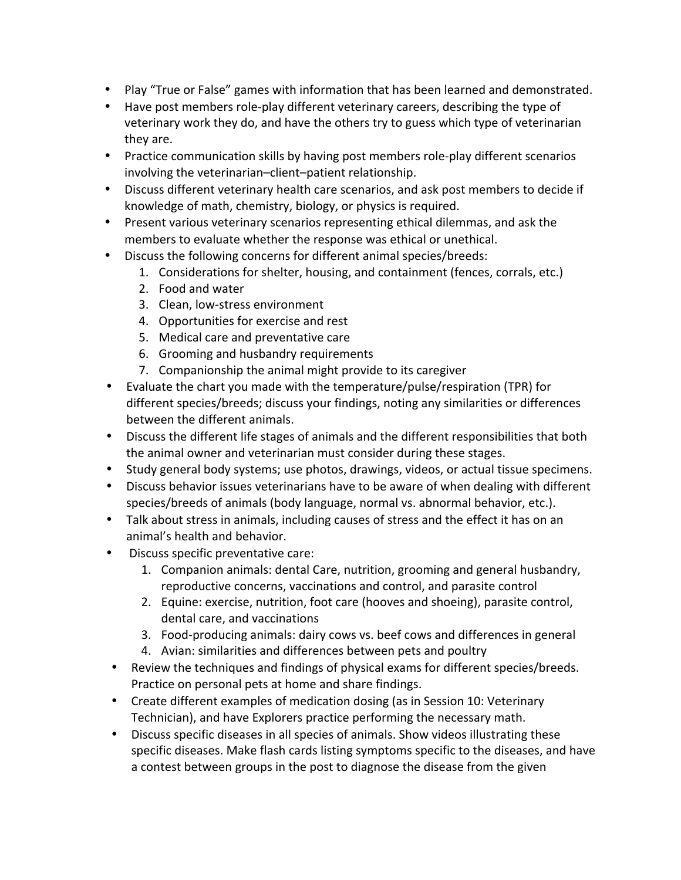- Play "True or False" games with information that has been learned and demonstrated.
- Have post members role-play different veterinary careers, describing the type of veterinary work they do, and have the others try to guess which type of veterinarian they are.
- Practice communication skills by having post members role-play different scenarios involving the veterinarian–client–patient relationship.
- Discuss different veterinary health care scenarios, and ask post members to decide if knowledge of math, chemistry, biology, or physics is required.
- Present various veterinary scenarios representing ethical dilemmas, and ask the members to evaluate whether the response was ethical or unethical.
- Discuss the following concerns for different animal species/breeds:
	- 1. Considerations for shelter, housing, and containment (fences, corrals, etc.)
	- 2. Food and water
	- 3. Clean, low-stress environment
	- 4. Opportunities for exercise and rest
	- 5. Medical care and preventative care
	- 6. Grooming and husbandry requirements
	- 7. Companionship the animal might provide to its caregiver
- Evaluate the chart you made with the temperature/pulse/respiration (TPR) for different species/breeds; discuss your findings, noting any similarities or differences between the different animals.
- Discuss the different life stages of animals and the different responsibilities that both the animal owner and veterinarian must consider during these stages.
- Study general body systems; use photos, drawings, videos, or actual tissue specimens.
- Discuss behavior issues veterinarians have to be aware of when dealing with different species/breeds of animals (body language, normal vs. abnormal behavior, etc.).
- Talk about stress in animals, including causes of stress and the effect it has on an animal's health and behavior.
- Discuss specific preventative care:
	- 1. Companion animals: dental Care, nutrition, grooming and general husbandry, reproductive concerns, vaccinations and control, and parasite control
	- 2. Equine: exercise, nutrition, foot care (hooves and shoeing), parasite control, dental care, and vaccinations
	- 3. Food-producing animals: dairy cows vs. beef cows and differences in general
	- 4. Avian: similarities and differences between pets and poultry
- Review the techniques and findings of physical exams for different species/breeds. Practice on personal pets at home and share findings.
- Create different examples of medication dosing (as in Session 10: Veterinary Technician), and have Explorers practice performing the necessary math.
- Discuss specific diseases in all species of animals. Show videos illustrating these specific diseases. Make flash cards listing symptoms specific to the diseases, and have a contest between groups in the post to diagnose the disease from the given